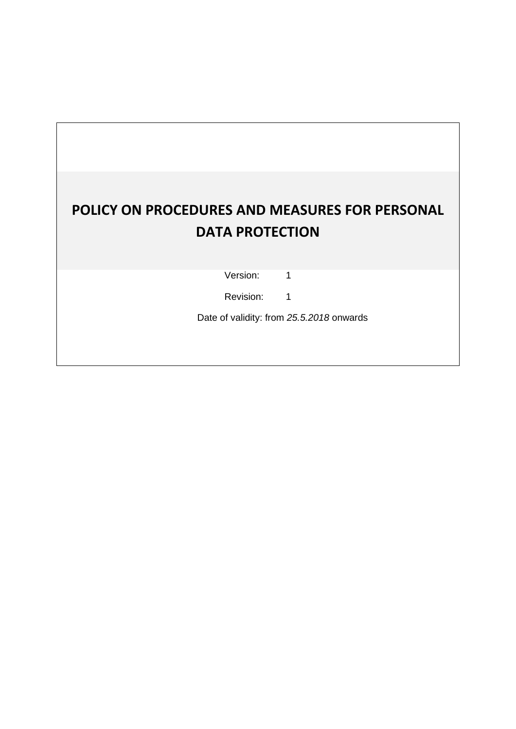# **POLICY ON PROCEDURES AND MEASURES FOR PERSONAL DATA PROTECTION**

Version: 1

Revision: 1

Date of validity: from *25.5.2018* onwards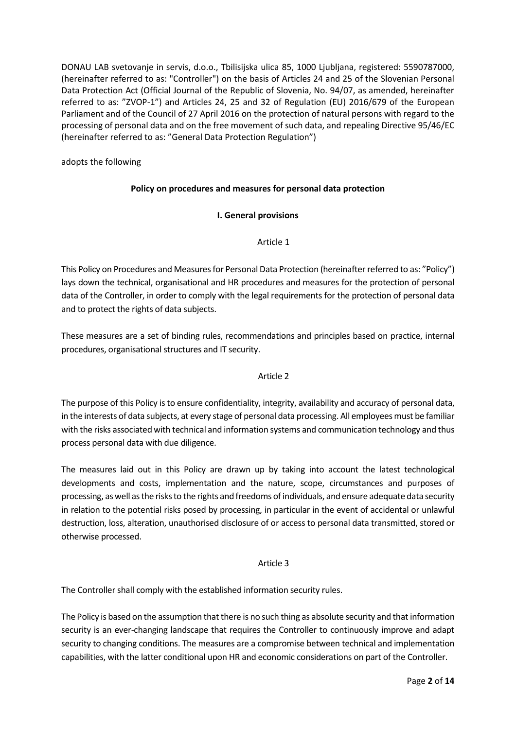DONAU LAB svetovanje in servis, d.o.o., Tbilisijska ulica 85, 1000 Ljubljana, registered: 5590787000, (hereinafter referred to as: "Controller") on the basis of Articles 24 and 25 of the Slovenian Personal Data Protection Act (Official Journal of the Republic of Slovenia, No. 94/07, as amended, hereinafter referred to as: "ZVOP-1") and Articles 24, 25 and 32 of Regulation (EU) 2016/679 of the European Parliament and of the Council of 27 April 2016 on the protection of natural persons with regard to the processing of personal data and on the free movement of such data, and repealing Directive 95/46/EC (hereinafter referred to as: "General Data Protection Regulation")

adopts the following

# **Policy on procedures and measures for personal data protection**

## **I. General provisions**

## Article 1

This Policy on Procedures and Measures for Personal Data Protection (hereinafter referred to as: "Policy") lays down the technical, organisational and HR procedures and measures for the protection of personal data of the Controller, in order to comply with the legal requirements for the protection of personal data and to protect the rights of data subjects.

These measures are a set of binding rules, recommendations and principles based on practice, internal procedures, organisational structures and IT security.

## Article 2

The purpose of this Policy is to ensure confidentiality, integrity, availability and accuracy of personal data, in the interests of data subjects, at every stage of personal data processing. All employees must be familiar with the risks associated with technical and information systems and communication technology and thus process personal data with due diligence.

The measures laid out in this Policy are drawn up by taking into account the latest technological developments and costs, implementation and the nature, scope, circumstances and purposes of processing, as well as the risks to the rights and freedoms of individuals, and ensure adequate data security in relation to the potential risks posed by processing, in particular in the event of accidental or unlawful destruction, loss, alteration, unauthorised disclosure of or access to personal data transmitted, stored or otherwise processed.

## Article 3

The Controller shall comply with the established information security rules.

The Policy is based on the assumption that there is no such thing as absolute security and that information security is an ever-changing landscape that requires the Controller to continuously improve and adapt security to changing conditions. The measures are a compromise between technical and implementation capabilities, with the latter conditional upon HR and economic considerations on part of the Controller.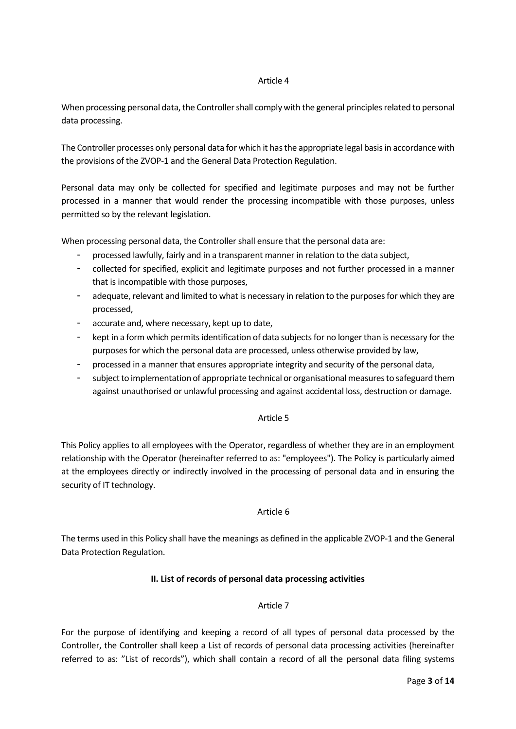#### Article 4

When processing personal data, the Controller shall comply with the general principles related to personal data processing.

The Controller processes only personal data for which it has the appropriate legal basis in accordance with the provisions of the ZVOP-1 and the General Data Protection Regulation.

Personal data may only be collected for specified and legitimate purposes and may not be further processed in a manner that would render the processing incompatible with those purposes, unless permitted so by the relevant legislation.

When processing personal data, the Controller shall ensure that the personal data are:

- processed lawfully, fairly and in a transparent manner in relation to the data subject,
- collected for specified, explicit and legitimate purposes and not further processed in a manner that is incompatible with those purposes,
- adequate, relevant and limited to what is necessary in relation to the purposes for which they are processed,
- accurate and, where necessary, kept up to date,
- kept in a form which permits identification of data subjects for no longer than is necessary for the purposes for which the personal data are processed, unless otherwise provided by law,
- processed in a manner that ensures appropriate integrity and security of the personal data,
- subject to implementation of appropriate technical or organisational measures to safeguard them against unauthorised or unlawful processing and against accidental loss, destruction or damage.

## Article 5

This Policy applies to all employees with the Operator, regardless of whether they are in an employment relationship with the Operator (hereinafter referred to as: "employees"). The Policy is particularly aimed at the employees directly or indirectly involved in the processing of personal data and in ensuring the security of IT technology.

## Article 6

The terms used in this Policy shall have the meanings as defined in the applicable ZVOP-1 and the General Data Protection Regulation.

## **II. List of records of personal data processing activities**

## Article 7

For the purpose of identifying and keeping a record of all types of personal data processed by the Controller, the Controller shall keep a List of records of personal data processing activities (hereinafter referred to as: "List of records"), which shall contain a record of all the personal data filing systems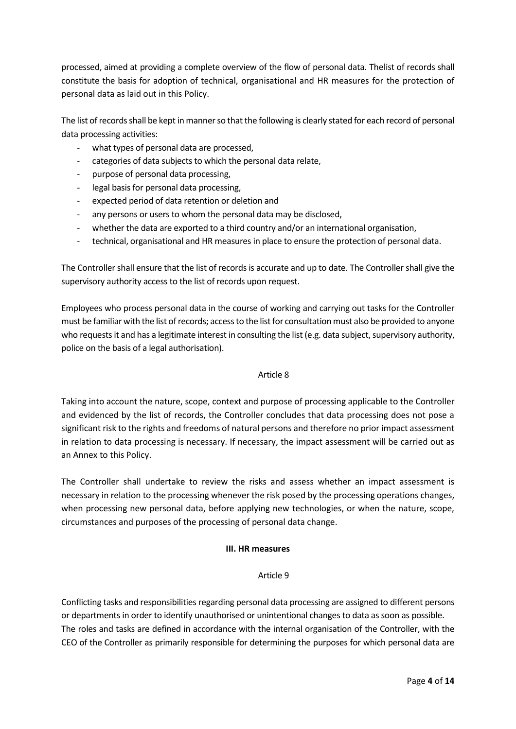processed, aimed at providing a complete overview of the flow of personal data. Thelist of records shall constitute the basis for adoption of technical, organisational and HR measures for the protection of personal data as laid out in this Policy.

The list of records shall be kept in manner so that the following is clearly stated for each record of personal data processing activities:

- what types of personal data are processed,
- categories of data subjects to which the personal data relate,
- purpose of personal data processing,
- legal basis for personal data processing,
- expected period of data retention or deletion and
- any persons or users to whom the personal data may be disclosed,
- whether the data are exported to a third country and/or an international organisation,
- technical, organisational and HR measures in place to ensure the protection of personal data.

The Controller shall ensure that the list of records is accurate and up to date. The Controller shall give the supervisory authority access to the list of records upon request.

Employees who process personal data in the course of working and carrying out tasks for the Controller must be familiar with the list of records; access to the list for consultation must also be provided to anyone who requests it and has a legitimate interest in consulting the list (e.g. data subject, supervisory authority, police on the basis of a legal authorisation).

## Article 8

Taking into account the nature, scope, context and purpose of processing applicable to the Controller and evidenced by the list of records, the Controller concludes that data processing does not pose a significant risk to the rights and freedoms of natural persons and therefore no prior impact assessment in relation to data processing is necessary. If necessary, the impact assessment will be carried out as an Annex to this Policy.

The Controller shall undertake to review the risks and assess whether an impact assessment is necessary in relation to the processing whenever the risk posed by the processing operations changes, when processing new personal data, before applying new technologies, or when the nature, scope, circumstances and purposes of the processing of personal data change.

## **III. HR measures**

## Article 9

Conflicting tasks and responsibilities regarding personal data processing are assigned to different persons or departments in order to identify unauthorised or unintentional changes to data as soon as possible. The roles and tasks are defined in accordance with the internal organisation of the Controller, with the CEO of the Controller as primarily responsible for determining the purposes for which personal data are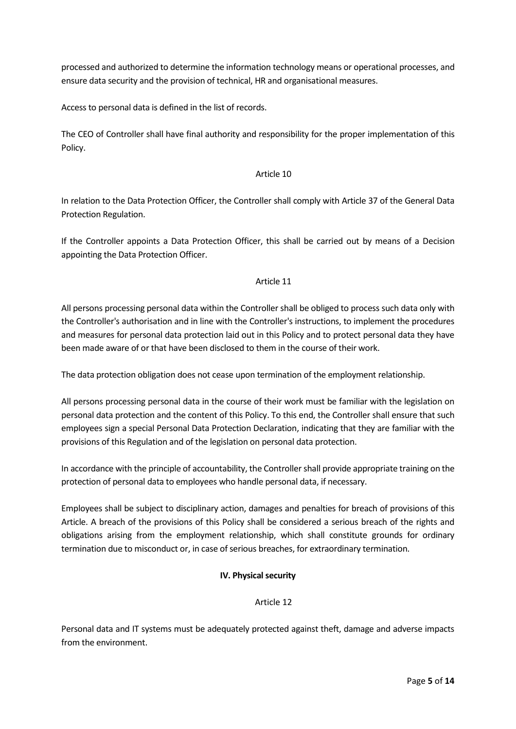processed and authorized to determine the information technology means or operational processes, and ensure data security and the provision of technical, HR and organisational measures.

Access to personal data is defined in the list of records.

The CEO of Controller shall have final authority and responsibility for the proper implementation of this Policy.

## Article 10

In relation to the Data Protection Officer, the Controller shall comply with Article 37 of the General Data Protection Regulation.

If the Controller appoints a Data Protection Officer, this shall be carried out by means of a Decision appointing the Data Protection Officer.

## Article 11

All persons processing personal data within the Controller shall be obliged to process such data only with the Controller's authorisation and in line with the Controller's instructions, to implement the procedures and measures for personal data protection laid out in this Policy and to protect personal data they have been made aware of or that have been disclosed to them in the course of their work.

The data protection obligation does not cease upon termination of the employment relationship.

All persons processing personal data in the course of their work must be familiar with the legislation on personal data protection and the content of this Policy. To this end, the Controller shall ensure that such employees sign a special Personal Data Protection Declaration, indicating that they are familiar with the provisions of this Regulation and of the legislation on personal data protection.

In accordance with the principle of accountability, the Controller shall provide appropriate training on the protection of personal data to employees who handle personal data, if necessary.

Employees shall be subject to disciplinary action, damages and penalties for breach of provisions of this Article. A breach of the provisions of this Policy shall be considered a serious breach of the rights and obligations arising from the employment relationship, which shall constitute grounds for ordinary termination due to misconduct or, in case of serious breaches, for extraordinary termination.

# **IV. Physical security**

# Article 12

Personal data and IT systems must be adequately protected against theft, damage and adverse impacts from the environment.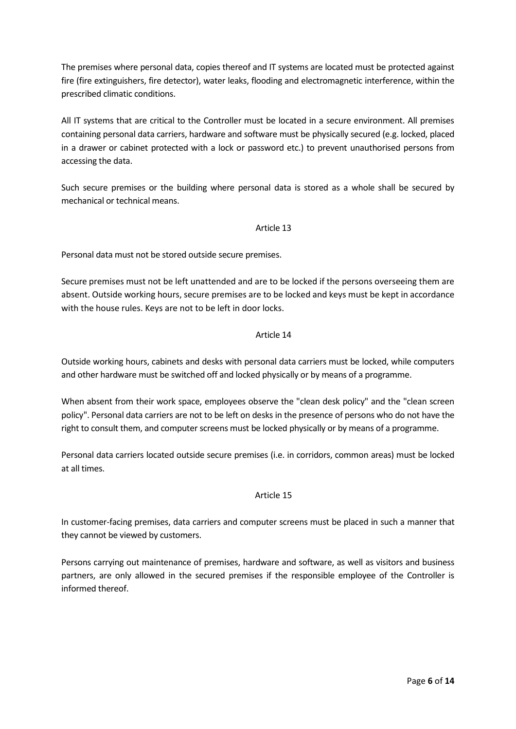The premises where personal data, copies thereof and IT systems are located must be protected against fire (fire extinguishers, fire detector), water leaks, flooding and electromagnetic interference, within the prescribed climatic conditions.

All IT systems that are critical to the Controller must be located in a secure environment. All premises containing personal data carriers, hardware and software must be physically secured (e.g. locked, placed in a drawer or cabinet protected with a lock or password etc.) to prevent unauthorised persons from accessing the data.

Such secure premises or the building where personal data is stored as a whole shall be secured by mechanical or technical means.

## Article 13

Personal data must not be stored outside secure premises.

Secure premises must not be left unattended and are to be locked if the persons overseeing them are absent. Outside working hours, secure premises are to be locked and keys must be kept in accordance with the house rules. Keys are not to be left in door locks.

## Article 14

Outside working hours, cabinets and desks with personal data carriers must be locked, while computers and other hardware must be switched off and locked physically or by means of a programme.

When absent from their work space, employees observe the "clean desk policy" and the "clean screen policy". Personal data carriers are not to be left on desks in the presence of persons who do not have the right to consult them, and computer screens must be locked physically or by means of a programme.

Personal data carriers located outside secure premises (i.e. in corridors, common areas) must be locked at all times.

## Article 15

In customer-facing premises, data carriers and computer screens must be placed in such a manner that they cannot be viewed by customers.

Persons carrying out maintenance of premises, hardware and software, as well as visitors and business partners, are only allowed in the secured premises if the responsible employee of the Controller is informed thereof.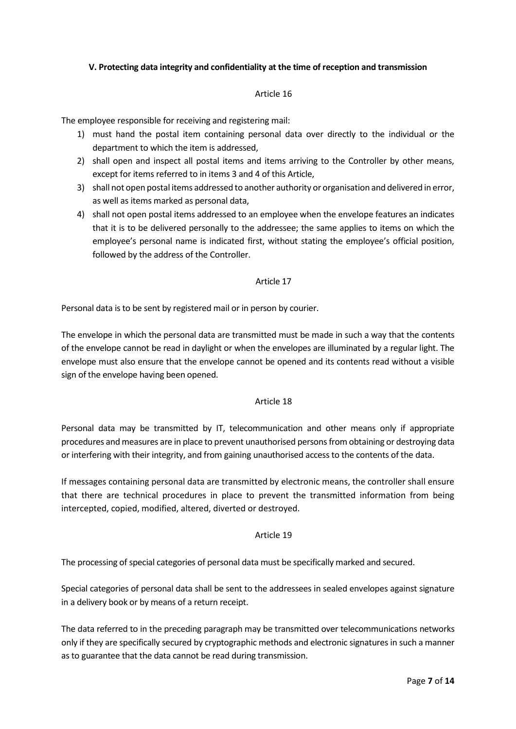# **V. Protecting data integrity and confidentiality at the time of reception and transmission**

## Article 16

The employee responsible for receiving and registering mail:

- 1) must hand the postal item containing personal data over directly to the individual or the department to which the item is addressed,
- 2) shall open and inspect all postal items and items arriving to the Controller by other means, except for items referred to in items 3 and 4 of this Article,
- 3) shall not open postal items addressed to another authority or organisation and delivered in error, as well as items marked as personal data,
- 4) shall not open postal items addressed to an employee when the envelope features an indicates that it is to be delivered personally to the addressee; the same applies to items on which the employee's personal name is indicated first, without stating the employee's official position, followed by the address of the Controller.

## Article 17

Personal data is to be sent by registered mail or in person by courier.

The envelope in which the personal data are transmitted must be made in such a way that the contents of the envelope cannot be read in daylight or when the envelopes are illuminated by a regular light. The envelope must also ensure that the envelope cannot be opened and its contents read without a visible sign of the envelope having been opened.

## Article 18

Personal data may be transmitted by IT, telecommunication and other means only if appropriate procedures and measures are in place to prevent unauthorised persons from obtaining or destroying data or interfering with their integrity, and from gaining unauthorised access to the contents of the data.

If messages containing personal data are transmitted by electronic means, the controller shall ensure that there are technical procedures in place to prevent the transmitted information from being intercepted, copied, modified, altered, diverted or destroyed.

## Article 19

The processing of special categories of personal data must be specifically marked and secured.

Special categories of personal data shall be sent to the addressees in sealed envelopes against signature in a delivery book or by means of a return receipt.

The data referred to in the preceding paragraph may be transmitted over telecommunications networks only if they are specifically secured by cryptographic methods and electronic signatures in such a manner as to guarantee that the data cannot be read during transmission.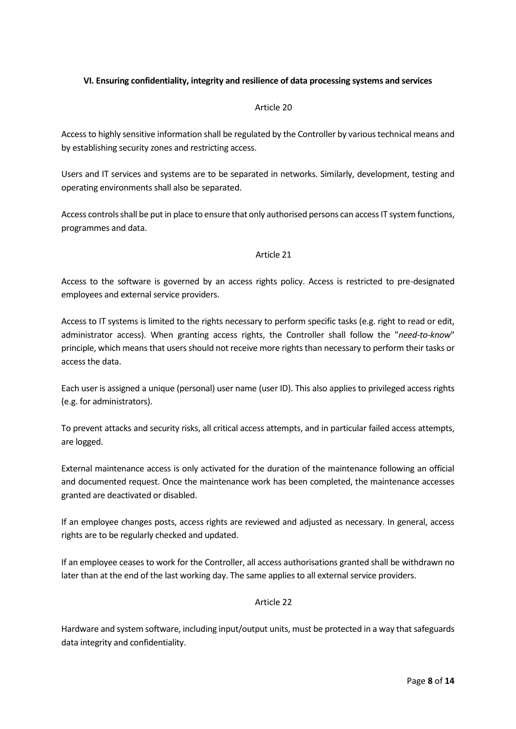# **VI. Ensuring confidentiality, integrity and resilience of data processing systems and services**

## Article 20

Access to highly sensitive information shall be regulated by the Controller by various technical means and by establishing security zones and restricting access.

Users and IT services and systems are to be separated in networks. Similarly, development, testing and operating environments shall also be separated.

Access controls shall be put in place to ensure that only authorised persons can access IT system functions, programmes and data.

## Article 21

Access to the software is governed by an access rights policy. Access is restricted to pre-designated employees and external service providers.

Access to IT systems is limited to the rights necessary to perform specific tasks (e.g. right to read or edit, administrator access). When granting access rights, the Controller shall follow the "*need-to-know*" principle, which means that users should not receive more rights than necessary to perform their tasks or access the data.

Each user is assigned a unique (personal) user name (user ID). This also applies to privileged access rights (e.g. for administrators).

To prevent attacks and security risks, all critical access attempts, and in particular failed access attempts, are logged.

External maintenance access is only activated for the duration of the maintenance following an official and documented request. Once the maintenance work has been completed, the maintenance accesses granted are deactivated or disabled.

If an employee changes posts, access rights are reviewed and adjusted as necessary. In general, access rights are to be regularly checked and updated.

If an employee ceases to work for the Controller, all access authorisations granted shall be withdrawn no later than at the end of the last working day. The same applies to all external service providers.

## Article 22

Hardware and system software, including input/output units, must be protected in a way that safeguards data integrity and confidentiality.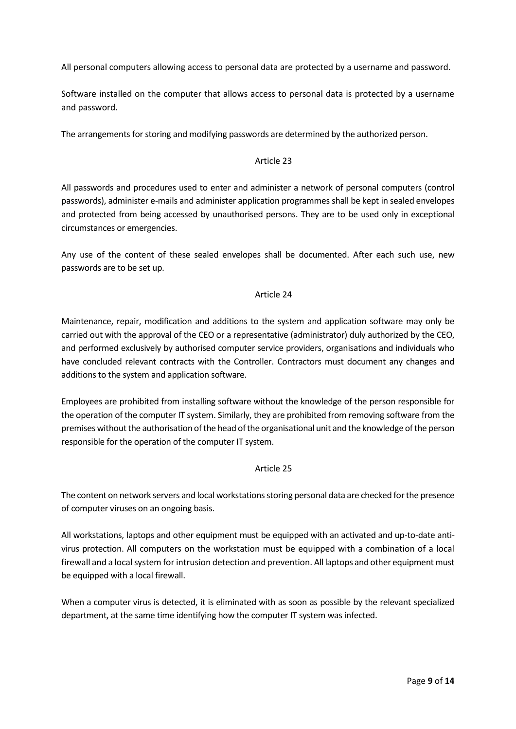All personal computers allowing access to personal data are protected by a username and password.

Software installed on the computer that allows access to personal data is protected by a username and password.

The arrangements for storing and modifying passwords are determined by the authorized person.

# Article 23

All passwords and procedures used to enter and administer a network of personal computers (control passwords), administer e-mails and administer application programmes shall be kept in sealed envelopes and protected from being accessed by unauthorised persons. They are to be used only in exceptional circumstances or emergencies.

Any use of the content of these sealed envelopes shall be documented. After each such use, new passwords are to be set up.

## Article 24

Maintenance, repair, modification and additions to the system and application software may only be carried out with the approval of the CEO or a representative (administrator) duly authorized by the CEO, and performed exclusively by authorised computer service providers, organisations and individuals who have concluded relevant contracts with the Controller. Contractors must document any changes and additions to the system and application software.

Employees are prohibited from installing software without the knowledge of the person responsible for the operation of the computer IT system. Similarly, they are prohibited from removing software from the premises without the authorisation of the head of the organisational unit and the knowledge of the person responsible for the operation of the computer IT system.

# Article 25

The content on network servers and local workstations storing personal data are checked for the presence of computer viruses on an ongoing basis.

All workstations, laptops and other equipment must be equipped with an activated and up-to-date antivirus protection. All computers on the workstation must be equipped with a combination of a local firewall and a local system for intrusion detection and prevention. All laptops and other equipment must be equipped with a local firewall.

When a computer virus is detected, it is eliminated with as soon as possible by the relevant specialized department, at the same time identifying how the computer IT system was infected.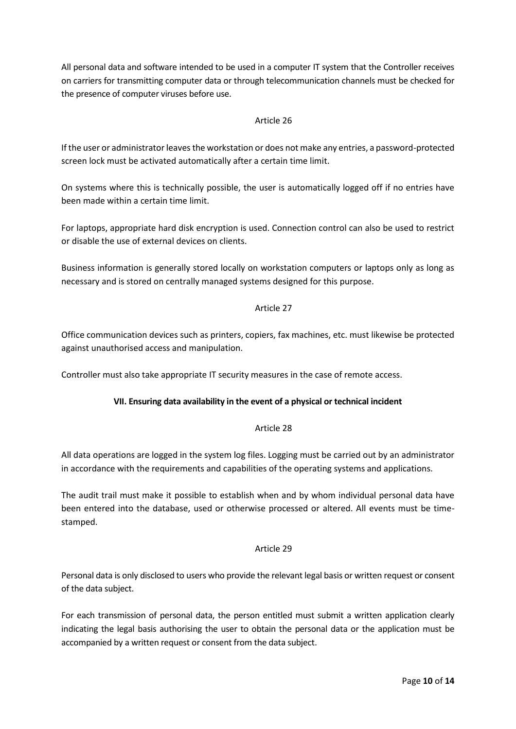All personal data and software intended to be used in a computer IT system that the Controller receives on carriers for transmitting computer data or through telecommunication channels must be checked for the presence of computer viruses before use.

# Article 26

If the user or administrator leaves the workstation or does not make any entries, a password-protected screen lock must be activated automatically after a certain time limit.

On systems where this is technically possible, the user is automatically logged off if no entries have been made within a certain time limit.

For laptops, appropriate hard disk encryption is used. Connection control can also be used to restrict or disable the use of external devices on clients.

Business information is generally stored locally on workstation computers or laptops only as long as necessary and is stored on centrally managed systems designed for this purpose.

# Article 27

Office communication devices such as printers, copiers, fax machines, etc. must likewise be protected against unauthorised access and manipulation.

Controller must also take appropriate IT security measures in the case of remote access.

# **VII. Ensuring data availability in the event of a physical or technical incident**

# Article 28

All data operations are logged in the system log files. Logging must be carried out by an administrator in accordance with the requirements and capabilities of the operating systems and applications.

The audit trail must make it possible to establish when and by whom individual personal data have been entered into the database, used or otherwise processed or altered. All events must be timestamped.

## Article 29

Personal data is only disclosed to users who provide the relevant legal basis or written request or consent of the data subject.

For each transmission of personal data, the person entitled must submit a written application clearly indicating the legal basis authorising the user to obtain the personal data or the application must be accompanied by a written request or consent from the data subject.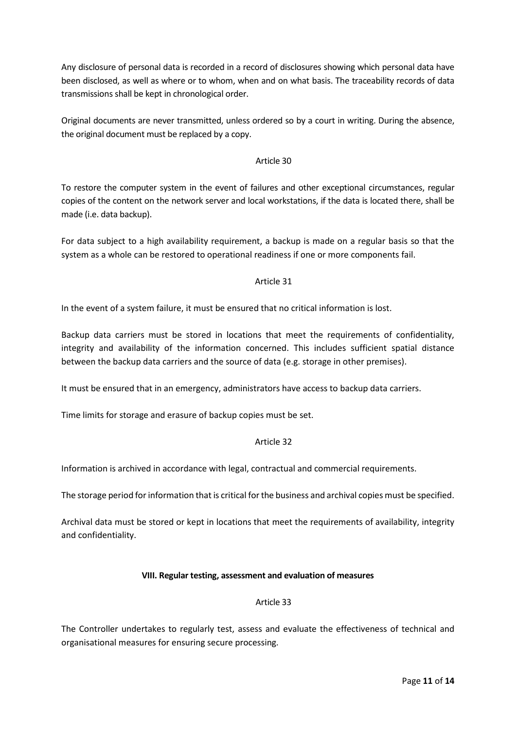Any disclosure of personal data is recorded in a record of disclosures showing which personal data have been disclosed, as well as where or to whom, when and on what basis. The traceability records of data transmissions shall be kept in chronological order.

Original documents are never transmitted, unless ordered so by a court in writing. During the absence, the original document must be replaced by a copy.

# Article 30

To restore the computer system in the event of failures and other exceptional circumstances, regular copies of the content on the network server and local workstations, if the data is located there, shall be made (i.e. data backup).

For data subject to a high availability requirement, a backup is made on a regular basis so that the system as a whole can be restored to operational readiness if one or more components fail.

## Article 31

In the event of a system failure, it must be ensured that no critical information is lost.

Backup data carriers must be stored in locations that meet the requirements of confidentiality, integrity and availability of the information concerned. This includes sufficient spatial distance between the backup data carriers and the source of data (e.g. storage in other premises).

It must be ensured that in an emergency, administrators have access to backup data carriers.

Time limits for storage and erasure of backup copies must be set.

# Article 32

Information is archived in accordance with legal, contractual and commercial requirements.

The storage period for information that is critical for the business and archival copies must be specified.

Archival data must be stored or kept in locations that meet the requirements of availability, integrity and confidentiality.

## **VIII. Regular testing, assessment and evaluation of measures**

## Article 33

The Controller undertakes to regularly test, assess and evaluate the effectiveness of technical and organisational measures for ensuring secure processing.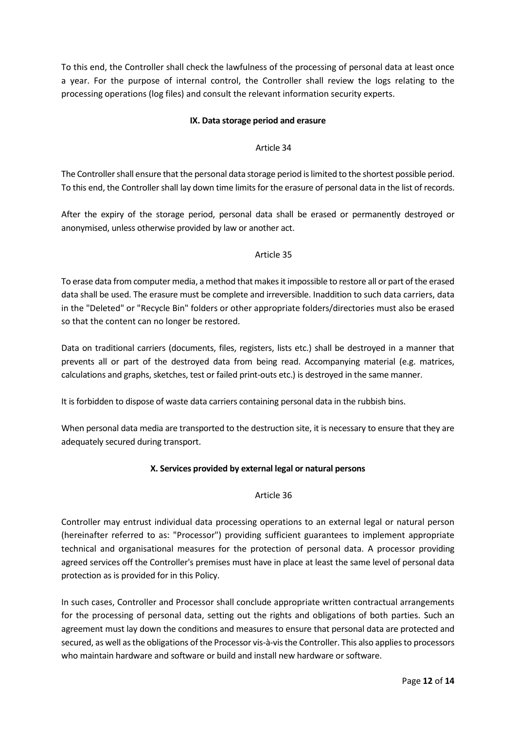To this end, the Controller shall check the lawfulness of the processing of personal data at least once a year. For the purpose of internal control, the Controller shall review the logs relating to the processing operations (log files) and consult the relevant information security experts.

## **IX. Data storage period and erasure**

## Article 34

The Controller shall ensure that the personal data storage period is limited to the shortest possible period. To this end, the Controller shall lay down time limits for the erasure of personal data in the list of records.

After the expiry of the storage period, personal data shall be erased or permanently destroyed or anonymised, unless otherwise provided by law or another act.

## Article 35

To erase data from computer media, a method that makes it impossible to restore all or part of the erased data shall be used. The erasure must be complete and irreversible. Inaddition to such data carriers, data in the "Deleted" or "Recycle Bin" folders or other appropriate folders/directories must also be erased so that the content can no longer be restored.

Data on traditional carriers (documents, files, registers, lists etc.) shall be destroyed in a manner that prevents all or part of the destroyed data from being read. Accompanying material (e.g. matrices, calculations and graphs, sketches, test or failed print-outs etc.) is destroyed in the same manner.

It is forbidden to dispose of waste data carriers containing personal data in the rubbish bins.

When personal data media are transported to the destruction site, it is necessary to ensure that they are adequately secured during transport.

# **X. Services provided by external legal or natural persons**

## Article 36

Controller may entrust individual data processing operations to an external legal or natural person (hereinafter referred to as: "Processor") providing sufficient guarantees to implement appropriate technical and organisational measures for the protection of personal data. A processor providing agreed services off the Controller's premises must have in place at least the same level of personal data protection as is provided for in this Policy.

In such cases, Controller and Processor shall conclude appropriate written contractual arrangements for the processing of personal data, setting out the rights and obligations of both parties. Such an agreement must lay down the conditions and measures to ensure that personal data are protected and secured, as well as the obligations of the Processor vis-à-vis the Controller. This also applies to processors who maintain hardware and software or build and install new hardware or software.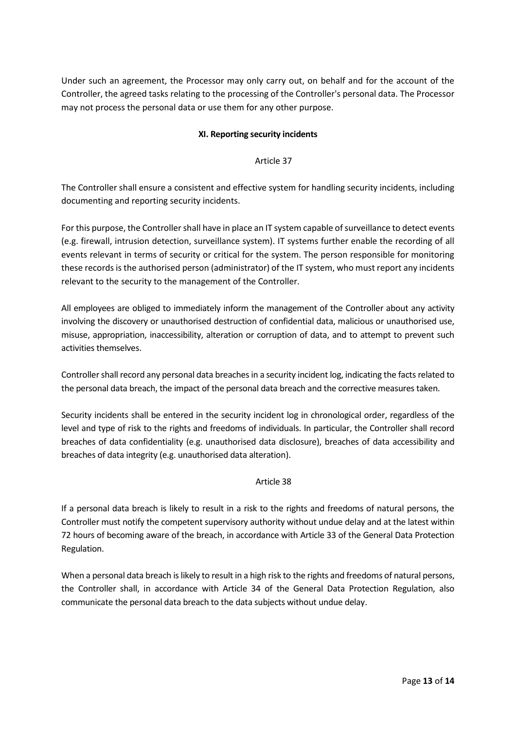Under such an agreement, the Processor may only carry out, on behalf and for the account of the Controller, the agreed tasks relating to the processing of the Controller's personal data. The Processor may not process the personal data or use them for any other purpose.

# **XI. Reporting security incidents**

## Article 37

The Controller shall ensure a consistent and effective system for handling security incidents, including documenting and reporting security incidents.

For this purpose, the Controller shall have in place an IT system capable of surveillance to detect events (e.g. firewall, intrusion detection, surveillance system). IT systems further enable the recording of all events relevant in terms of security or critical for the system. The person responsible for monitoring these records is the authorised person (administrator) of the IT system, who must report any incidents relevant to the security to the management of the Controller.

All employees are obliged to immediately inform the management of the Controller about any activity involving the discovery or unauthorised destruction of confidential data, malicious or unauthorised use, misuse, appropriation, inaccessibility, alteration or corruption of data, and to attempt to prevent such activities themselves.

Controller shall record any personal data breaches in a security incident log, indicating the facts related to the personal data breach, the impact of the personal data breach and the corrective measures taken.

Security incidents shall be entered in the security incident log in chronological order, regardless of the level and type of risk to the rights and freedoms of individuals. In particular, the Controller shall record breaches of data confidentiality (e.g. unauthorised data disclosure), breaches of data accessibility and breaches of data integrity (e.g. unauthorised data alteration).

# Article 38

If a personal data breach is likely to result in a risk to the rights and freedoms of natural persons, the Controller must notify the competent supervisory authority without undue delay and at the latest within 72 hours of becoming aware of the breach, in accordance with Article 33 of the General Data Protection Regulation.

When a personal data breach is likely to result in a high risk to the rights and freedoms of natural persons, the Controller shall, in accordance with Article 34 of the General Data Protection Regulation, also communicate the personal data breach to the data subjects without undue delay.